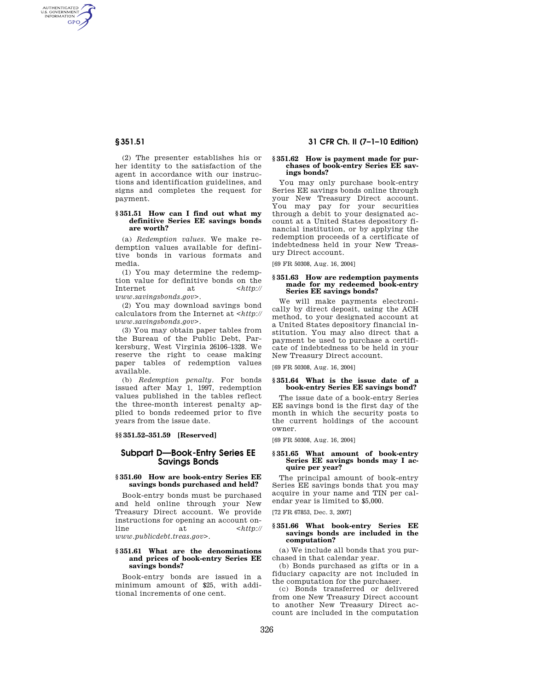AUTHENTICATED<br>U.S. GOVERNMENT<br>INFORMATION **GPO** 

> (2) The presenter establishes his or her identity to the satisfaction of the agent in accordance with our instructions and identification guidelines, and signs and completes the request for payment.

## **§ 351.51 How can I find out what my definitive Series EE savings bonds are worth?**

(a) *Redemption values.* We make redemption values available for definitive bonds in various formats and media.

(1) You may determine the redemption value for definitive bonds on the Internet at <*http:// www.savingsbonds.gov*>.

(2) You may download savings bond calculators from the Internet at <*http:// www.savingsbonds.gov*>.

(3) You may obtain paper tables from the Bureau of the Public Debt, Parkersburg, West Virginia 26106–1328. We reserve the right to cease making paper tables of redemption values available.

(b) *Redemption penalty.* For bonds issued after May 1, 1997, redemption values published in the tables reflect the three-month interest penalty applied to bonds redeemed prior to five years from the issue date.

**§§ 351.52–351.59 [Reserved]** 

# **Subpart D—Book-Entry Series EE Savings Bonds**

## **§ 351.60 How are book-entry Series EE savings bonds purchased and held?**

Book-entry bonds must be purchased and held online through your New Treasury Direct account. We provide instructions for opening an account online at <*http:// www.publicdebt.treas.gov*>.

# **§ 351.61 What are the denominations and prices of book-entry Series EE savings bonds?**

Book-entry bonds are issued in a minimum amount of \$25, with additional increments of one cent.

# **§ 351.51 31 CFR Ch. II (7–1–10 Edition)**

#### **§ 351.62 How is payment made for purchases of book-entry Series EE savings bonds?**

You may only purchase book-entry Series EE savings bonds online through your New Treasury Direct account. You may pay for your securities through a debit to your designated account at a United States depository financial institution, or by applying the redemption proceeds of a certificate of indebtedness held in your New Treasury Direct account.

[69 FR 50308, Aug. 16, 2004]

### **§ 351.63 How are redemption payments made for my redeemed book-entry Series EE savings bonds?**

We will make payments electronically by direct deposit, using the ACH method, to your designated account at a United States depository financial institution. You may also direct that a payment be used to purchase a certificate of indebtedness to be held in your New Treasury Direct account.

[69 FR 50308, Aug. 16, 2004]

## **§ 351.64 What is the issue date of a book-entry Series EE savings bond?**

The issue date of a book-entry Series EE savings bond is the first day of the month in which the security posts to the current holdings of the account owner.

[69 FR 50308, Aug. 16, 2004]

#### **§ 351.65 What amount of book-entry Series EE savings bonds may I acquire per year?**

The principal amount of book-entry Series EE savings bonds that you may acquire in your name and TIN per calendar year is limited to \$5,000.

[72 FR 67853, Dec. 3, 2007]

## **§ 351.66 What book-entry Series EE savings bonds are included in the computation?**

(a) We include all bonds that you purchased in that calendar year.

(b) Bonds purchased as gifts or in a fiduciary capacity are not included in the computation for the purchaser.

(c) Bonds transferred or delivered from one New Treasury Direct account to another New Treasury Direct account are included in the computation